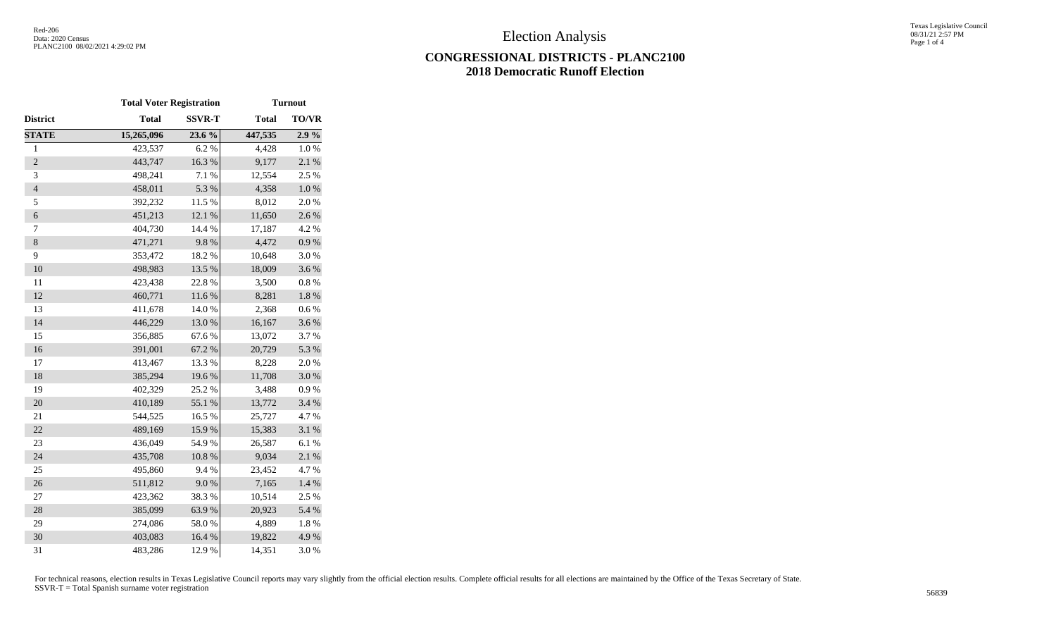## **CONGRESSIONAL DISTRICTS - PLANC2100 2018 Democratic Runoff Election**

|                  | <b>Total Voter Registration</b> |               |              | <b>Turnout</b> |  |
|------------------|---------------------------------|---------------|--------------|----------------|--|
| District         | <b>Total</b>                    | <b>SSVR-T</b> | <b>Total</b> | <b>TO/VR</b>   |  |
| <b>STATE</b>     | 15,265,096                      | 23.6 %        | 447,535      | 2.9%           |  |
| $\,1$            | 423,537                         | 6.2%          | 4,428        | 1.0%           |  |
| $\overline{c}$   | 443,747                         | 16.3 %        | 9,177        | 2.1 %          |  |
| 3                | 498,241                         | 7.1 %         | 12,554       | 2.5 %          |  |
| $\overline{4}$   | 458,011                         | 5.3 %         | 4,358        | $1.0\ \%$      |  |
| 5                | 392,232                         | 11.5 %        | 8,012        | 2.0%           |  |
| $\boldsymbol{6}$ | 451,213                         | 12.1 %        | 11,650       | 2.6 %          |  |
| 7                | 404,730                         | 14.4 %        | 17,187       | 4.2 %          |  |
| $\,8\,$          | 471,271                         | 9.8%          | 4,472        | 0.9 %          |  |
| 9                | 353,472                         | 18.2%         | 10,648       | 3.0%           |  |
| 10               | 498,983                         | 13.5 %        | 18,009       | 3.6%           |  |
| 11               | 423,438                         | 22.8 %        | 3,500        | $0.8~\%$       |  |
| 12               | 460,771                         | 11.6 %        | 8,281        | $1.8\ \%$      |  |
| 13               | 411,678                         | 14.0%         | 2,368        | 0.6%           |  |
| 14               | 446,229                         | 13.0%         | 16,167       | 3.6%           |  |
| 15               | 356,885                         | 67.6%         | 13,072       | 3.7 %          |  |
| 16               | 391,001                         | 67.2 %        | 20,729       | 5.3 %          |  |
| 17               | 413,467                         | 13.3 %        | 8,228        | 2.0%           |  |
| 18               | 385,294                         | 19.6%         | 11,708       | 3.0%           |  |
| 19               | 402,329                         | 25.2 %        | 3,488        | 0.9%           |  |
| 20               | 410,189                         | 55.1 %        | 13,772       | 3.4 %          |  |
| 21               | 544,525                         | 16.5 %        | 25,727       | 4.7%           |  |
| 22               | 489,169                         | 15.9%         | 15,383       | 3.1 %          |  |
| 23               | 436,049                         | 54.9%         | 26,587       | 6.1%           |  |
| 24               | 435,708                         | $10.8~\%$     | 9,034        | 2.1 %          |  |
| 25               | 495,860                         | 9.4%          | 23,452       | 4.7%           |  |
| 26               | 511,812                         | 9.0%          | 7,165        | $1.4~\%$       |  |
| 27               | 423,362                         | 38.3%         | 10,514       | 2.5 %          |  |
| 28               | 385,099                         | 63.9%         | 20,923       | 5.4 %          |  |
| 29               | 274,086                         | 58.0%         | 4,889        | 1.8%           |  |
| 30               | 403,083                         | 16.4 %        | 19,822       | 4.9%           |  |
| 31               | 483,286                         | 12.9%         | 14,351       | 3.0%           |  |

For technical reasons, election results in Texas Legislative Council reports may vary slightly from the official election results. Complete official results for all elections are maintained by the Office of the Texas Secre SSVR-T = Total Spanish surname voter registration <sup>56839</sup>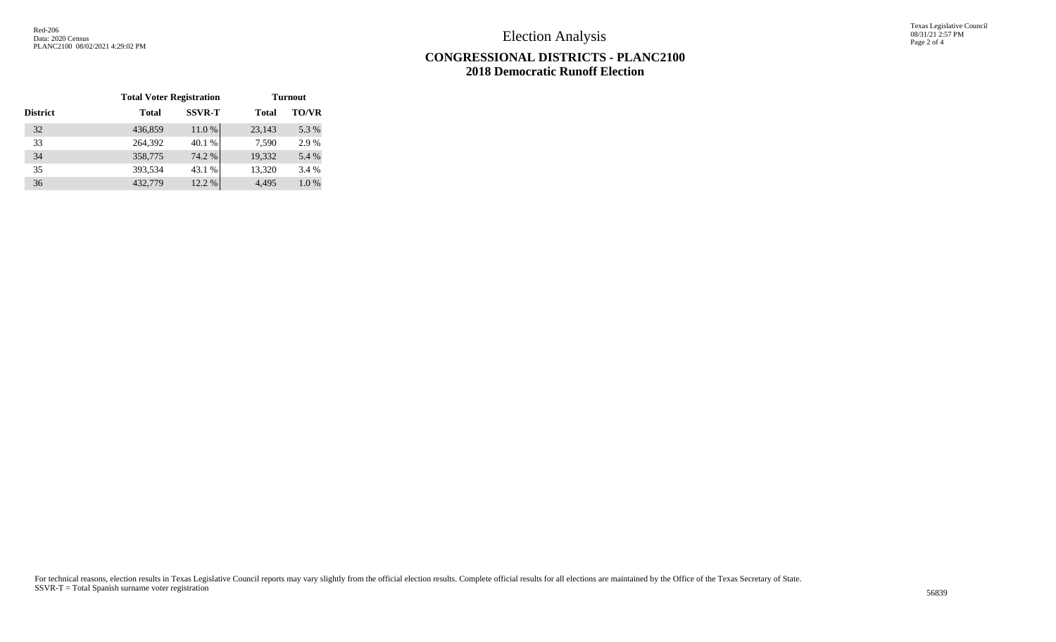Election Analysis

Texas Legislative Council 08/31/21 2:57 PM Page 2 of 4

## **CONGRESSIONAL DISTRICTS - PLANC2100 2018 Democratic Runoff Election**

|                 | <b>Total Voter Registration</b> |               | <b>Turnout</b> |              |
|-----------------|---------------------------------|---------------|----------------|--------------|
| <b>District</b> | <b>Total</b>                    | <b>SSVR-T</b> | <b>Total</b>   | <b>TO/VR</b> |
| 32              | 436,859                         | 11.0 %        | 23,143         | 5.3 %        |
| 33              | 264,392                         | 40.1 %        | 7,590          | 2.9 %        |
| 34              | 358,775                         | 74.2 %        | 19,332         | 5.4 %        |
| 35              | 393,534                         | 43.1 %        | 13,320         | 3.4 %        |
| 36              | 432,779                         | 12.2 %        | 4.495          | 1.0%         |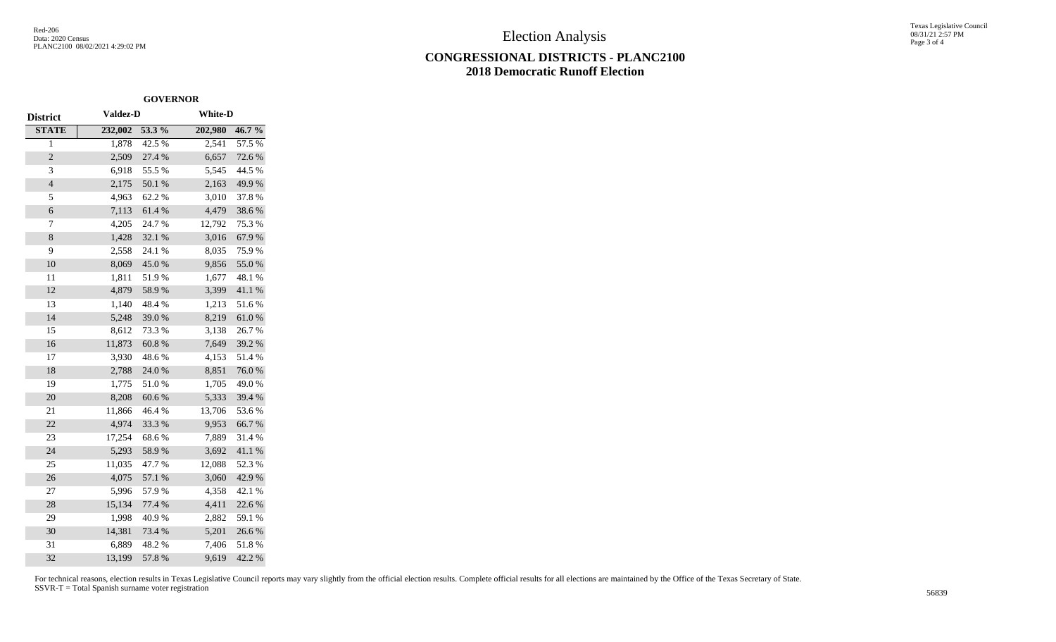Election Analysis

## **CONGRESSIONAL DISTRICTS - PLANC2100 2018 Democratic Runoff Election**

Texas Legislative Council 08/31/21 2:57 PM Page 3 of 4

|                 |                 | <b>GOVERNOR</b> |                |            |  |
|-----------------|-----------------|-----------------|----------------|------------|--|
| <b>District</b> | <b>Valdez-D</b> |                 | <b>White-D</b> |            |  |
| <b>STATE</b>    | 232,002         | 53.3 %          | 202,980        | 46.7%      |  |
| 1               | 1,878           | 42.5 %          | 2,541          | 57.5 %     |  |
| $\overline{c}$  | 2,509           | 27.4 %          | 6,657          | 72.6%      |  |
| 3               | 6,918           | 55.5 %          | 5,545          | 44.5 %     |  |
| $\overline{4}$  | 2,175           | 50.1 %          | 2,163          | 49.9%      |  |
| 5               | 4,963           | 62.2%           | 3,010          | 37.8%      |  |
| 6               | 7,113           | 61.4%           | 4,479          | 38.6%      |  |
| 7               | 4,205           | 24.7%           | 12,792         | 75.3 %     |  |
| 8               | 1,428           | 32.1 %          | 3,016          | 67.9%      |  |
| 9               | 2,558           | 24.1 %          | 8,035          | 75.9%      |  |
| 10              | 8,069           | 45.0%           | 9,856          | 55.0%      |  |
| 11              | 1,811           | 51.9%           | 1,677          | 48.1 %     |  |
| 12              | 4,879           | 58.9%           | 3,399          | 41.1 %     |  |
| 13              | 1,140           | 48.4%           | 1,213          | 51.6%      |  |
| 14              | 5,248           | 39.0%           | 8,219          | $61.0\ \%$ |  |
| 15              | 8,612           | 73.3 %          | 3,138          | 26.7%      |  |
| 16              | 11,873          | 60.8%           | 7,649          | 39.2 %     |  |
| 17              | 3,930           | 48.6%           | 4,153          | 51.4 %     |  |
| 18              | 2,788           | 24.0%           | 8,851          | 76.0%      |  |
| 19              | 1,775           | 51.0%           | 1,705          | 49.0%      |  |
| 20              | 8,208           | 60.6%           | 5,333          | 39.4 %     |  |
| 21              | 11,866          | 46.4%           | 13,706         | 53.6%      |  |
| 22              | 4,974           | 33.3%           | 9,953          | 66.7%      |  |
| 23              | 17,254          | 68.6%           | 7,889          | 31.4%      |  |
| 24              | 5,293           | 58.9%           | 3,692          | 41.1%      |  |
| 25              | 11,035          | 47.7%           | 12,088         | 52.3%      |  |
| 26              | 4,075           | 57.1 %          | 3,060          | 42.9%      |  |
| 27              | 5,996           | 57.9%           | 4,358          | 42.1 %     |  |
| 28              | 15,134          | 77.4 %          | 4,411          | 22.6 %     |  |
| 29              | 1,998           | 40.9%           | 2,882          | 59.1 %     |  |
| 30              | 14,381          | 73.4 %          | 5,201          | 26.6%      |  |
| 31              | 6,889           | 48.2%           | 7,406          | 51.8%      |  |
| 32              | 13,199          | 57.8 %          | 9,619          | 42.2 %     |  |

For technical reasons, election results in Texas Legislative Council reports may vary slightly from the official election results. Complete official results for all elections are maintained by the Office of the Texas Secre SSVR-T = Total Spanish surname voter registration <sup>56839</sup>